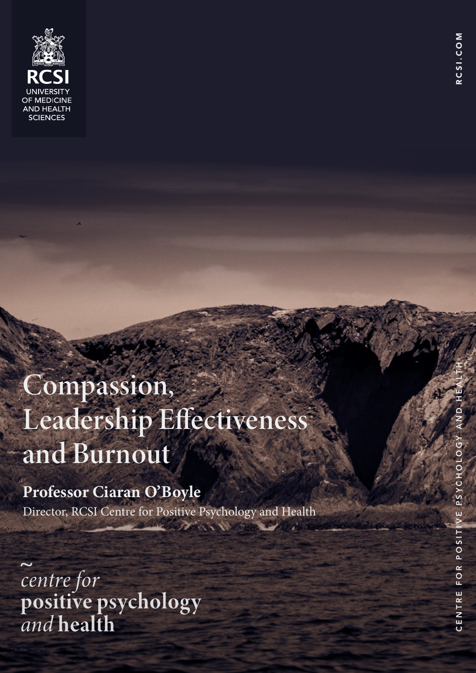

# Compassion, Leadership Effectiveness and Burnout

## **Professor Ciaran O'Boyle**

Director, RCSI Centre for Positive Psychology and Health

**ANTIQUE SERVICE COMPANY** 

centre for<br>positive psychology<br>and health

**1**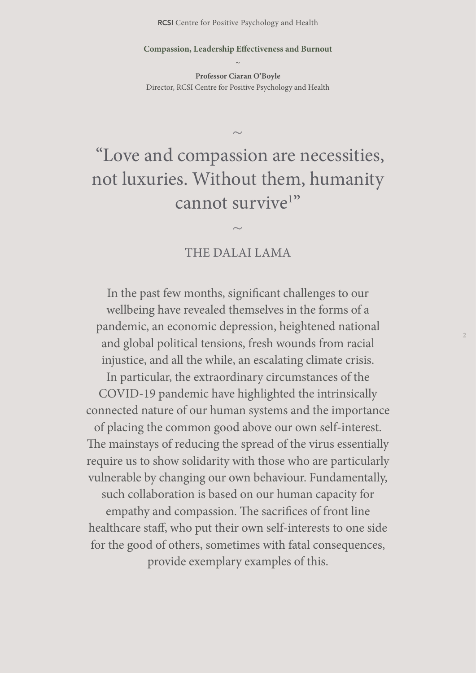**Compassion, Leadership Effectiveness and Burnout ~** 

**Professor Ciaran O'Boyle** Director, RCSI Centre for Positive Psychology and Health

 $\sim$ 

# "Love and compassion are necessities, not luxuries. Without them, humanity cannot survive<sup>1</sup>"

### THE DALAI LAMA

 $\sim$ 

**2**

In the past few months, significant challenges to our wellbeing have revealed themselves in the forms of a pandemic, an economic depression, heightened national and global political tensions, fresh wounds from racial injustice, and all the while, an escalating climate crisis. In particular, the extraordinary circumstances of the COVID-19 pandemic have highlighted the intrinsically connected nature of our human systems and the importance of placing the common good above our own self-interest. The mainstays of reducing the spread of the virus essentially require us to show solidarity with those who are particularly vulnerable by changing our own behaviour. Fundamentally, such collaboration is based on our human capacity for empathy and compassion. The sacrifices of front line healthcare staff, who put their own self-interests to one side for the good of others, sometimes with fatal consequences, provide exemplary examples of this.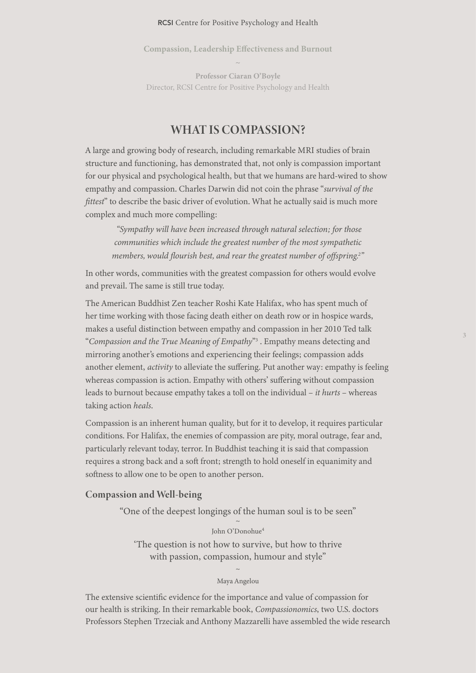**Compassion, Leadership Effectiveness and Burnout**  $\sim$ 

**Professor Ciaran O'Boyle** Director, RCSI Centre for Positive Psychology and Health

### WHAT IS COMPASSION?

A large and growing body of research, including remarkable MRI studies of brain structure and functioning, has demonstrated that, not only is compassion important for our physical and psychological health, but that we humans are hard-wired to show empathy and compassion. Charles Darwin did not coin the phrase "*survival of the fittest*" to describe the basic driver of evolution. What he actually said is much more complex and much more compelling:

 *"Sympathy will have been increased through natural selection; for those communities which include the greatest number of the most sympathetic members, would flourish best, and rear the greatest number of offspring.2 "* 

In other words, communities with the greatest compassion for others would evolve and prevail. The same is still true today.

The American Buddhist Zen teacher Roshi Kate Halifax, who has spent much of her time working with those facing death either on death row or in hospice wards, makes a useful distinction between empathy and compassion in her 2010 Ted talk "*Compassion and the True Meaning of Empathy*"3 . Empathy means detecting and mirroring another's emotions and experiencing their feelings; compassion adds another element, *activity* to alleviate the suffering. Put another way: empathy is feeling whereas compassion is action. Empathy with others' suffering without compassion leads to burnout because empathy takes a toll on the individual – *it hurts* – whereas taking action *heals*.

Compassion is an inherent human quality, but for it to develop, it requires particular conditions. For Halifax, the enemies of compassion are pity, moral outrage, fear and, particularly relevant today, terror. In Buddhist teaching it is said that compassion requires a strong back and a soft front; strength to hold oneself in equanimity and softness to allow one to be open to another person.

#### Compassion and Well-being

"One of the deepest longings of the human soul is to be seen"

 $\ddot{\phantom{0}}$ John O'Donohue4

'The question is not how to survive, but how to thrive with passion, compassion, humour and style"

#### $\ddot{\phantom{0}}$ Maya Angelou

The extensive scientific evidence for the importance and value of compassion for our health is striking. In their remarkable book, *Compassionomics*, two U.S. doctors Professors Stephen Trzeciak and Anthony Mazzarelli have assembled the wide research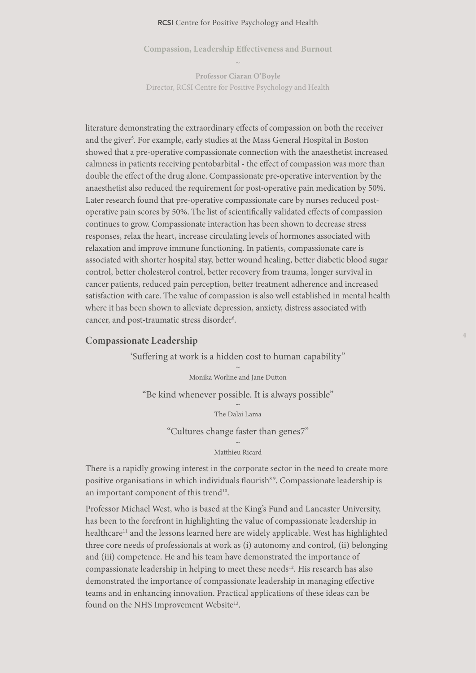**Compassion, Leadership Effectiveness and Burnout**  $\sim$ 

**Professor Ciaran O'Boyle** Director, RCSI Centre for Positive Psychology and Health

literature demonstrating the extraordinary effects of compassion on both the receiver and the giver<sup>5</sup>. For example, early studies at the Mass General Hospital in Boston showed that a pre-operative compassionate connection with the anaesthetist increased calmness in patients receiving pentobarbital - the effect of compassion was more than double the effect of the drug alone. Compassionate pre-operative intervention by the anaesthetist also reduced the requirement for post-operative pain medication by 50%. Later research found that pre-operative compassionate care by nurses reduced postoperative pain scores by 50%. The list of scientifically validated effects of compassion continues to grow. Compassionate interaction has been shown to decrease stress responses, relax the heart, increase circulating levels of hormones associated with relaxation and improve immune functioning. In patients, compassionate care is associated with shorter hospital stay, better wound healing, better diabetic blood sugar control, better cholesterol control, better recovery from trauma, longer survival in cancer patients, reduced pain perception, better treatment adherence and increased satisfaction with care. The value of compassion is also well established in mental health where it has been shown to alleviate depression, anxiety, distress associated with cancer, and post-traumatic stress disorder<sup>6</sup>.

#### Compassionate Leadership

'Suffering at work is a hidden cost to human capability"

**4**

 $\ddot{\phantom{0}}$ Monika Worline and Jane Dutton

"Be kind whenever possible. It is always possible"

 $\ddot{\phantom{0}}$ The Dalai Lama

"Cultures change faster than genes7"

 $\ddot{\phantom{0}}$ Matthieu Ricard

There is a rapidly growing interest in the corporate sector in the need to create more positive organisations in which individuals flourish<sup>89</sup>. Compassionate leadership is an important component of this trend<sup>10</sup>.

Professor Michael West, who is based at the King's Fund and Lancaster University, has been to the forefront in highlighting the value of compassionate leadership in healthcare<sup>11</sup> and the lessons learned here are widely applicable. West has highlighted three core needs of professionals at work as (i) autonomy and control, (ii) belonging and (iii) competence. He and his team have demonstrated the importance of compassionate leadership in helping to meet these needs<sup>12</sup>. His research has also demonstrated the importance of compassionate leadership in managing effective teams and in enhancing innovation. Practical applications of these ideas can be found on the NHS Improvement Website<sup>13</sup>.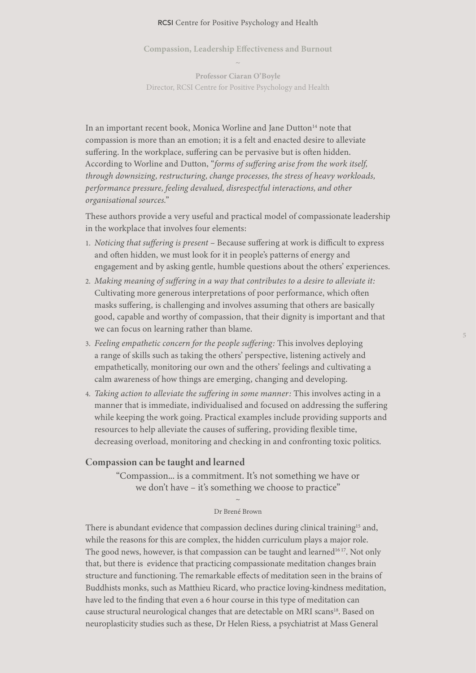**Compassion, Leadership Effectiveness and Burnout**  $\sim$ 

**Professor Ciaran O'Boyle** Director, RCSI Centre for Positive Psychology and Health

In an important recent book, Monica Worline and Jane Dutton<sup>14</sup> note that compassion is more than an emotion; it is a felt and enacted desire to alleviate suffering. In the workplace, suffering can be pervasive but is often hidden. According to Worline and Dutton, "*forms of suffering arise from the work itself, through downsizing, restructuring, change processes, the stress of heavy workloads, performance pressure, feeling devalued, disrespectful interactions, and other organisational sources.*"

These authors provide a very useful and practical model of compassionate leadership in the workplace that involves four elements:

- 1. *Noticing that suffering is present* Because suffering at work is difficult to express and often hidden, we must look for it in people's patterns of energy and engagement and by asking gentle, humble questions about the others' experiences.
- 2. *Making meaning of suffering in a way that contributes to a desire to alleviate it:* Cultivating more generous interpretations of poor performance, which often masks suffering, is challenging and involves assuming that others are basically good, capable and worthy of compassion, that their dignity is important and that we can focus on learning rather than blame.
- 3. *Feeling empathetic concern for the people suffering:* This involves deploying a range of skills such as taking the others' perspective, listening actively and empathetically, monitoring our own and the others' feelings and cultivating a calm awareness of how things are emerging, changing and developing.
- 4. *Taking action to alleviate the suffering in some manner:* This involves acting in a manner that is immediate, individualised and focused on addressing the suffering while keeping the work going. Practical examples include providing supports and resources to help alleviate the causes of suffering, providing flexible time, decreasing overload, monitoring and checking in and confronting toxic politics.

#### Compassion can be taught and learned

"Compassion... is a commitment. It's not something we have or we don't have – it's something we choose to practice"

#### $\ddot{\phantom{0}}$ Dr Brené Brown

There is abundant evidence that compassion declines during clinical training<sup>15</sup> and, while the reasons for this are complex, the hidden curriculum plays a major role. The good news, however, is that compassion can be taught and learned<sup>1617</sup>. Not only that, but there is evidence that practicing compassionate meditation changes brain structure and functioning. The remarkable effects of meditation seen in the brains of Buddhists monks, such as Matthieu Ricard, who practice loving-kindness meditation, have led to the finding that even a 6 hour course in this type of meditation can cause structural neurological changes that are detectable on MRI scans<sup>18</sup>. Based on neuroplasticity studies such as these, Dr Helen Riess, a psychiatrist at Mass General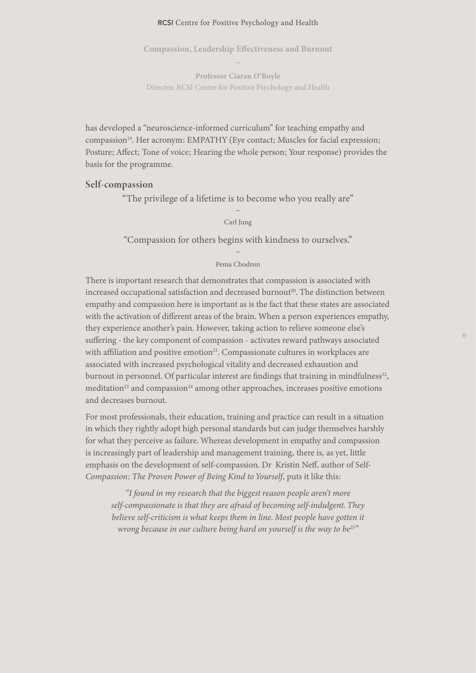**Compassion, Leadership Effectiveness and Burnout**  $\sim$ 

**Professor Ciaran O'Boyle** Director, RCSI Centre for Positive Psychology and Health

has developed a "neuroscience-informed curriculum" for teaching empathy and compassion<sup>19</sup>. Her acronym: EMPATHY (Eye contact; Muscles for facial expression; Posture; Affect; Tone of voice; Hearing the whole person; Your response) provides the basis for the programme.

#### Self-compassion

"The privilege of a lifetime is to become who you really are"

 $\ddot{\phantom{0}}$ Carl Jung

"Compassion for others begins with kindness to ourselves."  $\ddot{\phantom{0}}$ 

Pema Chodron

There is important research that demonstrates that compassion is associated with increased occupational satisfaction and decreased burnout<sup>20</sup>. The distinction between empathy and compassion here is important as is the fact that these states are associated with the activation of different areas of the brain. When a person experiences empathy, they experience another's pain. However, taking action to relieve someone else's suffering - the key component of compassion - activates reward pathways associated with affiliation and positive emotion<sup>21</sup>. Compassionate cultures in workplaces are associated with increased psychological vitality and decreased exhaustion and burnout in personnel. Of particular interest are findings that training in mindfulness<sup>22</sup>, meditation<sup>23</sup> and compassion<sup>24</sup> among other approaches, increases positive emotions and decreases burnout.

For most professionals, their education, training and practice can result in a situation in which they rightly adopt high personal standards but can judge themselves harshly for what they perceive as failure. Whereas development in empathy and compassion is increasingly part of leadership and management training, there is, as yet, little emphasis on the development of self-compassion. Dr Kristin Neff, author of Self-*Compassion: The Proven Power of Being Kind to Yourself*, puts it like this:

*"I found in my research that the biggest reason people aren't more self-compassionate is that they are afraid of becoming self-indulgent. They believe self-criticism is what keeps them in line. Most people have gotten it wrong because in our culture being hard on yourself is the way to be25"*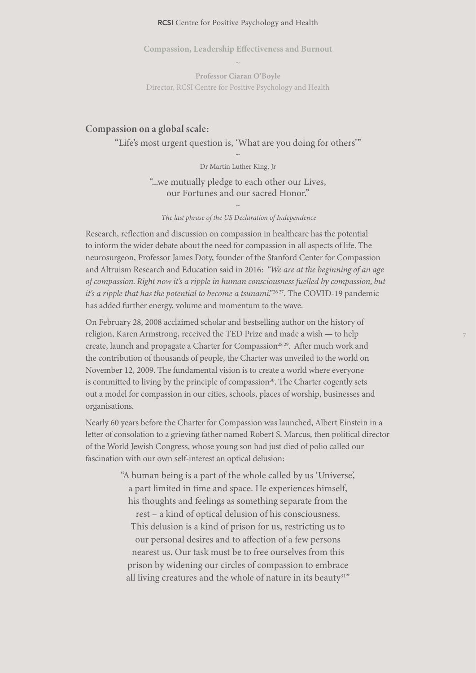**Compassion, Leadership Effectiveness and Burnout**  $\sim$ 

**Professor Ciaran O'Boyle** Director, RCSI Centre for Positive Psychology and Health

#### Compassion on a global scale:

"Life's most urgent question is, 'What are you doing for others'"  $\sim$ 

Dr Martin Luther King, Jr

"...we mutually pledge to each other our Lives, our Fortunes and our sacred Honor."

 $\ddot{\phantom{0}}$  *The last phrase of the US Declaration of Independence*

Research, reflection and discussion on compassion in healthcare has the potential to inform the wider debate about the need for compassion in all aspects of life. The neurosurgeon, Professor James Doty, founder of the Stanford Center for Compassion and Altruism Research and Education said in 2016: "*We are at the beginning of an age of compassion. Right now it's a ripple in human consciousness fuelled by compassion, but it's a ripple that has the potential to become a tsunami.*<sup>226 27</sup>. The COVID-19 pandemic has added further energy, volume and momentum to the wave.

On February 28, 2008 acclaimed scholar and bestselling author on the history of religion, Karen Armstrong, received the TED Prize and made a wish — to help create, launch and propagate a Charter for Compassion<sup>28 29</sup>. After much work and the contribution of thousands of people, the Charter was unveiled to the world on November 12, 2009. The fundamental vision is to create a world where everyone is committed to living by the principle of compassion<sup>30</sup>. The Charter cogently sets out a model for compassion in our cities, schools, places of worship, businesses and organisations.

Nearly 60 years before the Charter for Compassion was launched, Albert Einstein in a letter of consolation to a grieving father named Robert S. Marcus, then political director of the World Jewish Congress, whose young son had just died of polio called our fascination with our own self-interest an optical delusion:

> "A human being is a part of the whole called by us 'Universe', a part limited in time and space. He experiences himself, his thoughts and feelings as something separate from the rest – a kind of optical delusion of his consciousness. This delusion is a kind of prison for us, restricting us to our personal desires and to affection of a few persons nearest us. Our task must be to free ourselves from this prison by widening our circles of compassion to embrace all living creatures and the whole of nature in its beauty<sup>31"</sup>